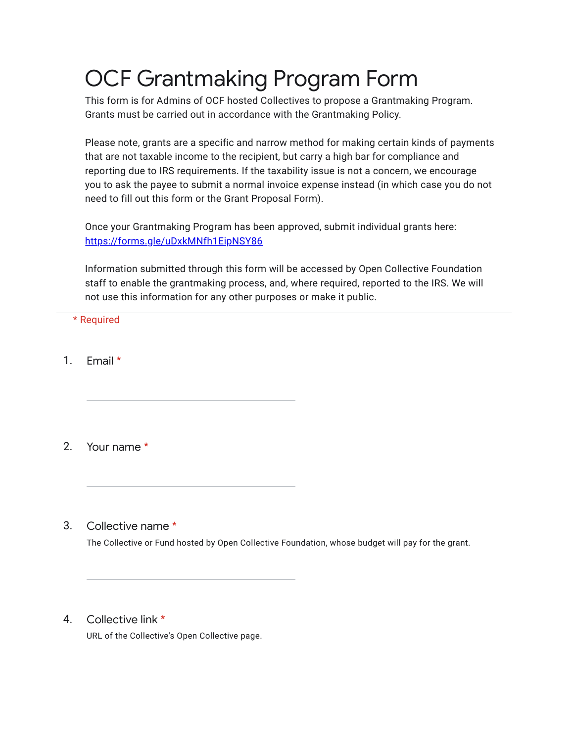# OCF Grantmaking Program Form

This form is for Admins of OCF hosted Collectives to propose a Grantmaking Program. Grants must be carried out in accordance with the Grantmaking Policy.

Please note, grants are a specific and narrow method for making certain kinds of payments that are not taxable income to the recipient, but carry a high bar for compliance and reporting due to IRS requirements. If the taxability issue is not a concern, we encourage you to ask the payee to submit a normal invoice expense instead (in which case you do not need to fill out this form or the Grant Proposal Form).

Once your Grantmaking Program has been approved, submit individual grants here: <https://forms.gle/uDxkMNfh1EipNSY86>

Information submitted through this form will be accessed by Open Collective Foundation staff to enable the grantmaking process, and, where required, reported to the IRS. We will not use this information for any other purposes or make it public.

\* Required

1. Email \*

2. Your name \*

3. Collective name \*

The Collective or Fund hosted by Open Collective Foundation, whose budget will pay for the grant.

4. Collective link \*

URL of the Collective's Open Collective page.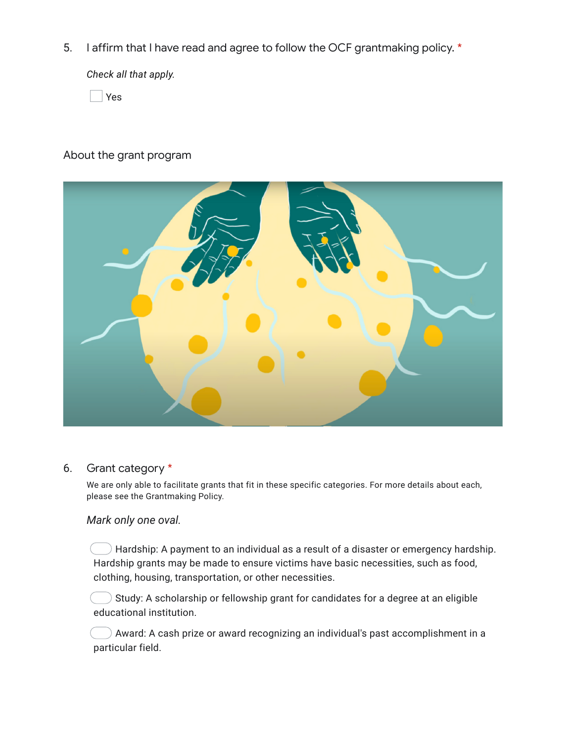5. I affirm that I have read and agree to follow the OCF grantmaking policy. \*

*Check all that apply.*

Yes

## About the grant program

| ╰ |
|---|
|   |

### 6. Grant category \*

We are only able to facilitate grants that fit in these specific categories. For more details about each, please see the Grantmaking Policy.

### *Mark only one oval.*

 $\bigcirc$  Hardship: A payment to an individual as a result of a disaster or emergency hardship. Hardship grants may be made to ensure victims have basic necessities, such as food, clothing, housing, transportation, or other necessities.

 $\bigcirc$  Study: A scholarship or fellowship grant for candidates for a degree at an eligible educational institution.

 $\Box$  ) Award: A cash prize or award recognizing an individual's past accomplishment in a particular field.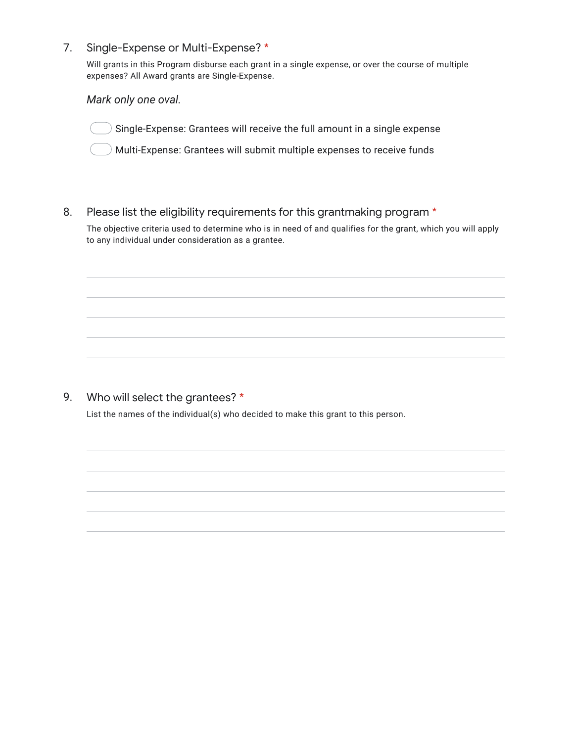7. Single-Expense or Multi-Expense? \*

> Will grants in this Program disburse each grant in a single expense, or over the course of multiple expenses? All Award grants are Single-Expense.

*Mark only one oval.*

Single-Expense: Grantees will receive the full amount in a single expense

Multi-Expense: Grantees will submit multiple expenses to receive funds

8. Please list the eligibility requirements for this grantmaking program \*

The objective criteria used to determine who is in need of and qualifies for the grant, which you will apply to any individual under consideration as a grantee.

#### 9. Who will select the grantees? \*

List the names of the individual(s) who decided to make this grant to this person.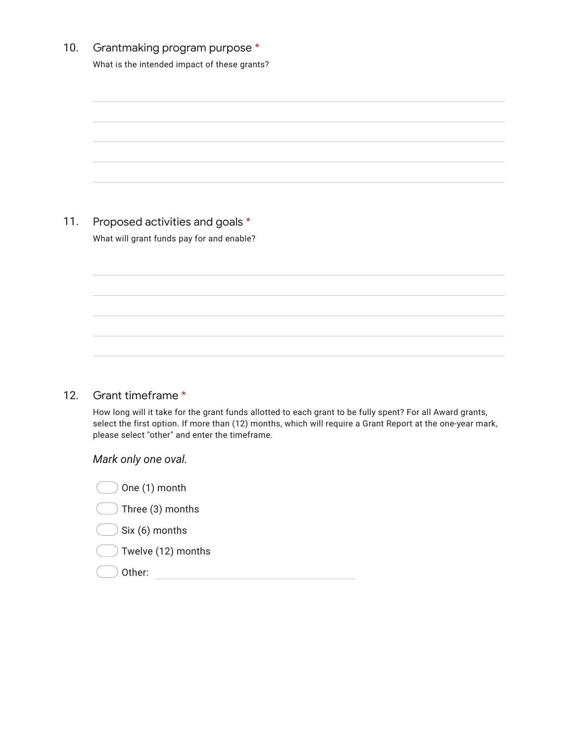| 10. Grantmaking program purpose *            |
|----------------------------------------------|
| What is the intended impact of these grants? |

| 11. | Proposed activities and goals *           |
|-----|-------------------------------------------|
|     | What will grant funds pay for and enable? |

#### 12. Grant timeframe \*

How long will it take for the grant funds allotted to each grant to be fully spent? For all Award grants, select the first option. If more than (12) months, which will require a Grant Report at the one-year mark, please select "other" and enter the timeframe.

*Mark only one oval.*

| One (1) month                  |  |
|--------------------------------|--|
| Three (3) months<br>$\left($   |  |
| Six (6) months<br>$\left($     |  |
| Twelve (12) months<br>$\left($ |  |
| Other:                         |  |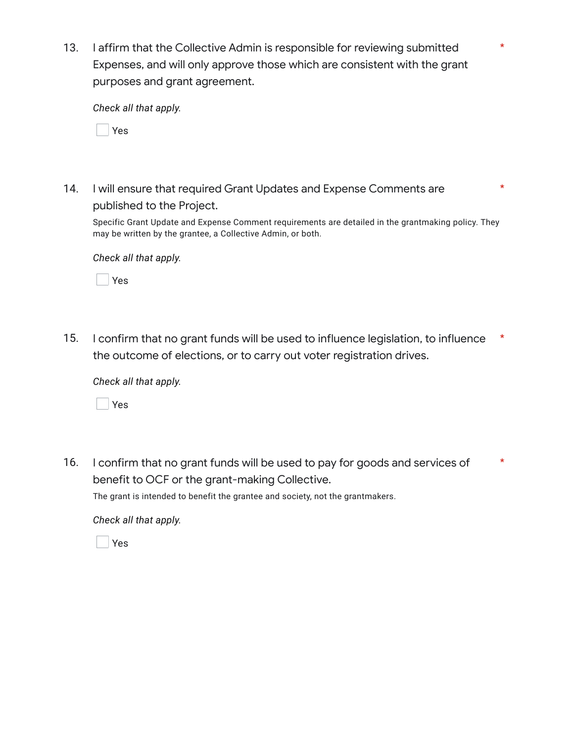13. I affirm that the Collective Admin is responsible for reviewing submitted Expenses, and will only approve those which are consistent with the grant purposes and grant agreement.

\*

\*

*Check all that apply.*

Yes

14. I will ensure that required Grant Updates and Expense Comments are published to the Project.

Specific Grant Update and Expense Comment requirements are detailed in the grantmaking policy. They may be written by the grantee, a Collective Admin, or both.

*Check all that apply.*

Yes

15. I confirm that no grant funds will be used to influence legislation, to influence the outcome of elections, or to carry out voter registration drives. \*

*Check all that apply.*

Yes

16. I confirm that no grant funds will be used to pay for goods and services of benefit to OCF or the grant-making Collective. \*

The grant is intended to benefit the grantee and society, not the grantmakers.

*Check all that apply.*

Yes